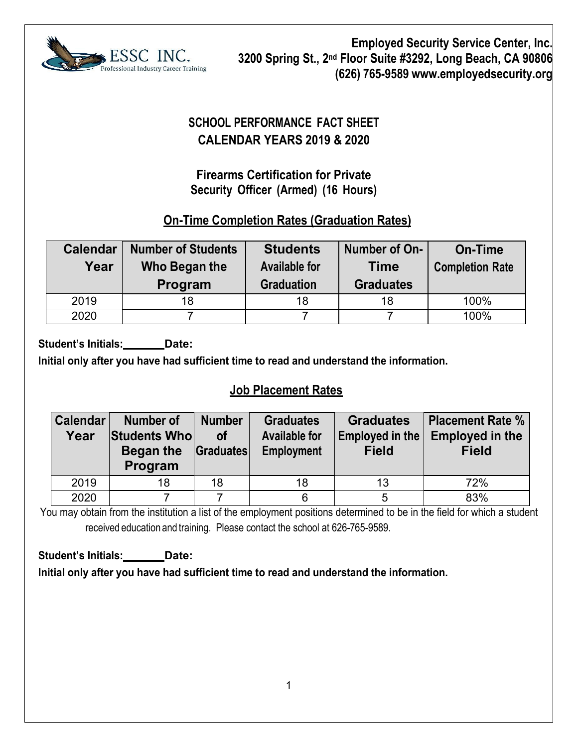

# **SCHOOL PERFORMANCE FACT SHEET CALENDAR YEARS 2019 & 2020**

## **Firearms Certification for Private Security Officer (Armed) (16 Hours)**

## **On-Time Completion Rates (Graduation Rates)**

| <b>Calendar</b><br>Year | <b>Number of Students</b><br>Who Began the<br>Program | <b>Students</b><br><b>Available for</b><br><b>Graduation</b> | Number of On-<br>Time<br><b>Graduates</b> | On-Time<br><b>Completion Rate</b> |  |
|-------------------------|-------------------------------------------------------|--------------------------------------------------------------|-------------------------------------------|-----------------------------------|--|
| 2019                    | 18                                                    | 18                                                           | 18                                        | 100%                              |  |
| 2020                    |                                                       |                                                              |                                           | 100%                              |  |

Student's Initials: **Date:** 

**Initial only after you have had sufficient time to read and understand the information.**

# **Job Placement Rates**

| Calendar<br>Year | Number of<br>Students Who<br><b>Began the Graduates</b><br>Program | <b>Number</b><br>Οf | <b>Graduates</b><br><b>Available for</b><br><b>Employment</b> | <b>Graduates</b><br><b>Employed in the</b><br><b>Field</b> | <b>Placement Rate %</b><br><b>Employed in the</b><br><b>Field</b> |  |
|------------------|--------------------------------------------------------------------|---------------------|---------------------------------------------------------------|------------------------------------------------------------|-------------------------------------------------------------------|--|
| 2019             | 18                                                                 | 18                  | 18                                                            | 13                                                         | 72%                                                               |  |
| 2020             |                                                                    |                     | 6                                                             | 5                                                          | 83%                                                               |  |

You may obtain from the institution a list of the employment positions determined to be in the field for which a student received education and training. Please contact the school at 626-765-9589.

**Student's Initials: Date: Initial only after you have had sufficient time to read and understand the information.**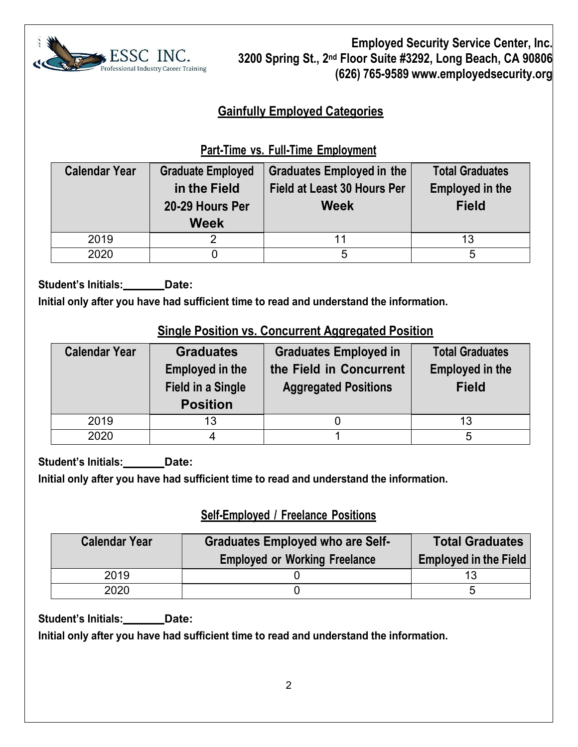

# **Gainfully Employed Categories**

# **Part-Time vs. Full-Time Employment**

| <b>Calendar Year</b> | <b>Graduate Employed</b><br>in the Field<br>20-29 Hours Per<br><b>Week</b> | <b>Graduates Employed in the</b><br><b>Field at Least 30 Hours Per</b><br><b>Week</b> | <b>Total Graduates</b><br><b>Employed in the</b><br><b>Field</b> |  |  |
|----------------------|----------------------------------------------------------------------------|---------------------------------------------------------------------------------------|------------------------------------------------------------------|--|--|
| 2019                 |                                                                            |                                                                                       | 13                                                               |  |  |
| 2020                 |                                                                            | 5                                                                                     | 5                                                                |  |  |

**Student's Initials: Date:**

**Initial only after you have had sufficient time to read and understand the information.** 

#### **Single Position vs. Concurrent Aggregated Position**

| <b>Calendar Year</b> | <b>Graduates</b><br><b>Employed in the</b><br><b>Field in a Single</b><br><b>Position</b> | <b>Graduates Employed in</b><br>the Field in Concurrent<br><b>Aggregated Positions</b> | <b>Total Graduates</b><br><b>Employed in the</b><br><b>Field</b> |  |
|----------------------|-------------------------------------------------------------------------------------------|----------------------------------------------------------------------------------------|------------------------------------------------------------------|--|
| 2019                 | 13                                                                                        |                                                                                        | 13                                                               |  |
| 2020                 |                                                                                           |                                                                                        |                                                                  |  |

Student's Initials: **Date:** 

**Initial only after you have had sufficient time to read and understand the information.** 

## **Self-Employed / Freelance Positions**

| <b>Calendar Year</b> | <b>Graduates Employed who are Self-</b><br><b>Employed or Working Freelance</b> | <b>Total Graduates</b><br><b>Employed in the Field</b> |  |  |
|----------------------|---------------------------------------------------------------------------------|--------------------------------------------------------|--|--|
| 2019                 |                                                                                 |                                                        |  |  |
| 2020                 |                                                                                 | ∽                                                      |  |  |

**Student's Initials: Date:**

**Initial only after you have had sufficient time to read and understand the information.**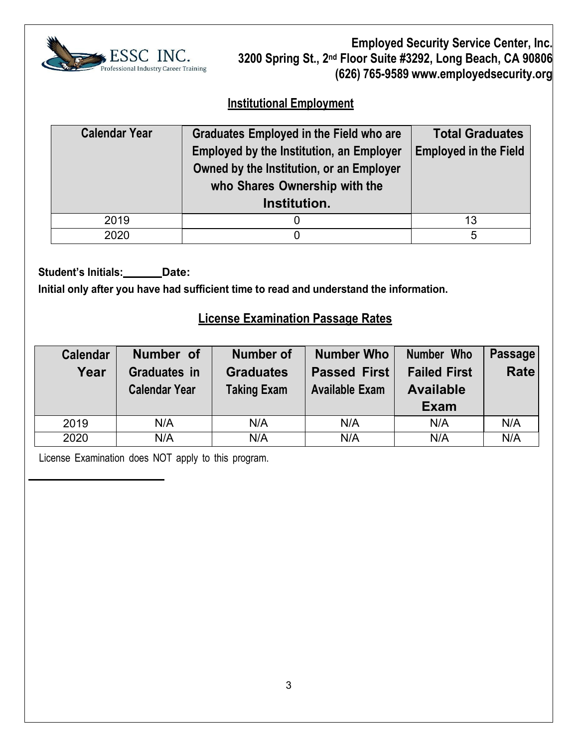

#### **Institutional Employment**

| <b>Calendar Year</b> | Graduates Employed in the Field who are<br><b>Employed by the Institution, an Employer</b><br>Owned by the Institution, or an Employer<br>who Shares Ownership with the<br>Institution. | <b>Total Graduates</b><br><b>Employed in the Field</b> |
|----------------------|-----------------------------------------------------------------------------------------------------------------------------------------------------------------------------------------|--------------------------------------------------------|
| 2019                 |                                                                                                                                                                                         | 13                                                     |
| 2020                 |                                                                                                                                                                                         | 5                                                      |

Student's Initials: \_\_\_\_\_\_Date:

**Initial only after you have had sufficient time to read and understand the information.**

#### **License Examination Passage Rates**

| <b>Calendar</b> | Number of            | <b>Number of</b>                        | <b>Number Who</b>     | Number Who          | <b>Passage</b> |
|-----------------|----------------------|-----------------------------------------|-----------------------|---------------------|----------------|
| Year            | <b>Graduates in</b>  | <b>Graduates</b><br><b>Passed First</b> |                       | <b>Failed First</b> | <b>Rate</b>    |
|                 | <b>Calendar Year</b> | <b>Taking Exam</b>                      | <b>Available Exam</b> | <b>Available</b>    |                |
|                 |                      |                                         |                       | <b>Exam</b>         |                |
| 2019            | N/A                  | N/A                                     | N/A                   | N/A                 | N/A            |
| 2020            | N/A                  | N/A                                     | N/A                   | N/A                 | N/A            |

License Examination does NOT apply to this program.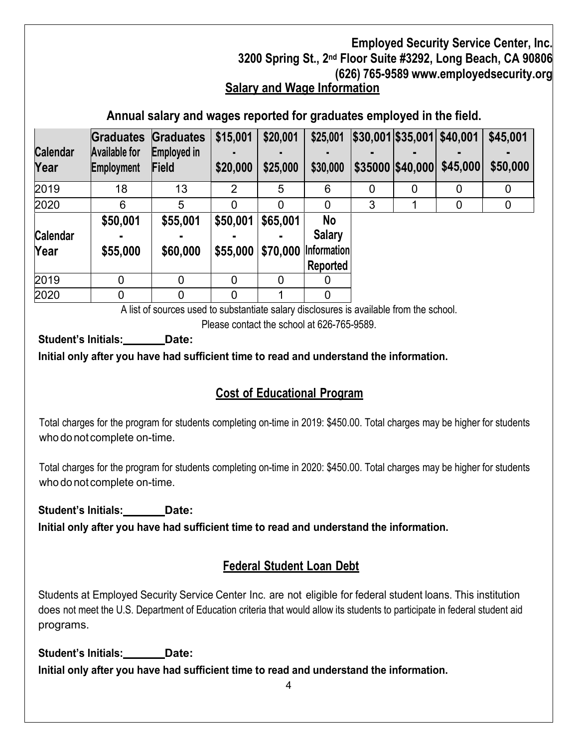**Annual salary and wages reported for graduates employed in the field.**

|                         | Graduates                          | <b>Graduates</b>     | \$15,001       | \$20,001 | \$25,001                       |   | \$30,001 \$35,001 \$40,001 |                              | \$45,001    |
|-------------------------|------------------------------------|----------------------|----------------|----------|--------------------------------|---|----------------------------|------------------------------|-------------|
| <b>Calendar</b><br>Year | <b>Available for</b><br>Employment | Employed in<br>Field | \$20,000       | \$25,000 | \$30,000                       |   |                            | $$35000$ $$40,000$ $$45,000$ | \$50,000    |
| 2019                    | 18                                 | 13                   | $\overline{2}$ | 5        | 6                              | 0 | $\Omega$                   | 0                            | 0           |
| 2020                    | 6                                  | 5                    | 0              | 0        | 0                              | 3 |                            | 0                            | $\mathbf 0$ |
| <b>Calendar</b>         | \$50,001                           | \$55,001             | \$50,001       | \$65,001 | No<br><b>Salary</b>            |   |                            |                              |             |
| Year                    | \$55,000                           | \$60,000             | \$55,000       | \$70,000 | <b>Information</b><br>Reported |   |                            |                              |             |
| 2019                    | 0                                  | 0                    | 0              | 0        | 0                              |   |                            |                              |             |
| 2020                    |                                    | 0                    | $\overline{0}$ |          | $\overline{0}$                 |   |                            |                              |             |

A list of sources used to substantiate salary disclosures is available from the school.

Please contact the school at 626-765-9589.

**Student's Initials: Date:**

**Initial only after you have had sufficient time to read and understand the information.**

# **Cost of Educational Program**

Total charges for the program for students completing on-time in 2019: \$450.00. Total charges may be higher for students who do not complete on-time.

Total charges for the program for students completing on-time in 2020: \$450.00. Total charges may be higher for students who do not complete on-time.

**Student's Initials: Date:**

**Initial only after you have had sufficient time to read and understand the information.**

## **Federal Student Loan Debt**

Students at Employed Security Service Center Inc. are not eligible for federal student loans. This institution does not meet the U.S. Department of Education criteria that would allow its students to participate in federal student aid programs.

Student's Initials: **Date: Initial only after you have had sufficient time to read and understand the information.**

4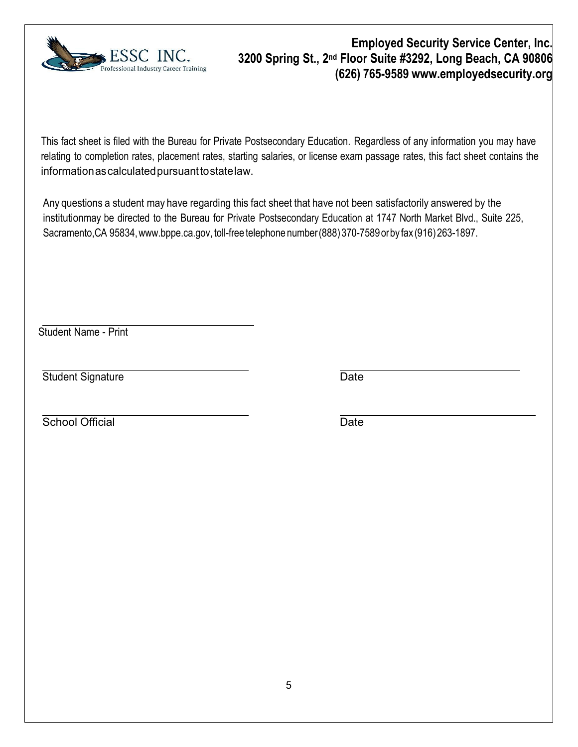

This fact sheet is filed with the Bureau for Private Postsecondary Education. Regardless of any information you may have relating to completion rates, placement rates, starting salaries, or license exam passage rates, this fact sheet contains the information as calculated pursuant to state law.

Any questions a student may have regarding this fact sheet that have not been satisfactorily answered by the institutionmay be directed to the Bureau for Private Postsecondary Education at 1747 North Market Blvd., Suite 225, Sacramento,CA 9583[4,www.bppe.ca.gov,](http://www.bppe.ca.gov/) toll-free telephone number(888) 370-7589orby fax (916)263-1897.

Student Name - Print

Student Signature Date

**School Official** Date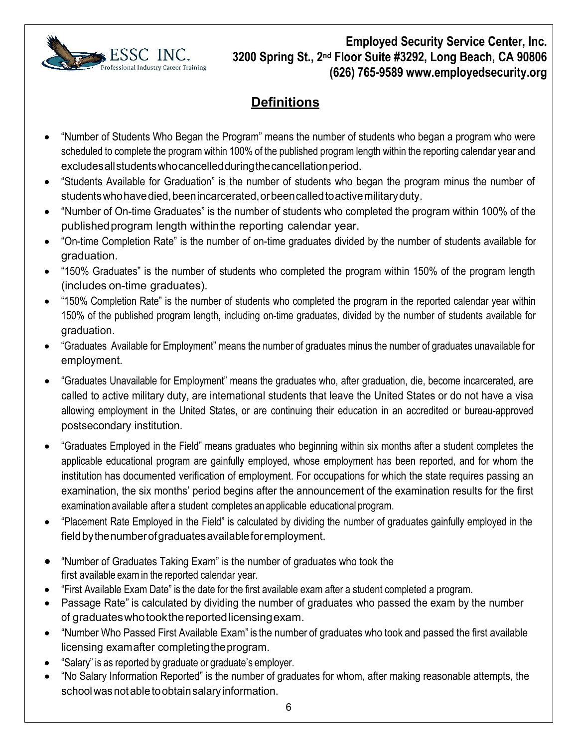

# **Definitions**

- "Number of Students Who Began the Program" means the number of students who began a program who were scheduled to complete the program within 100% of the published program length within the reporting calendar year and excludesallstudentswhocancelledduringthecancellationperiod.
- "Students Available for Graduation" is the number of students who began the program minus the number of students who have died, been incarcerated, or been called to active military duty.
- "Number of On-time Graduates" is the number of students who completed the program within 100% of the publishedprogram length withinthe reporting calendar year.
- "On-time Completion Rate" is the number of on-time graduates divided by the number of students available for graduation.
- "150% Graduates" is the number of students who completed the program within 150% of the program length (includes on-time graduates).
- "150% Completion Rate" is the number of students who completed the program in the reported calendar year within 150% of the published program length, including on-time graduates, divided by the number of students available for graduation.
- "Graduates Available for Employment" means the number of graduates minus the number of graduates unavailable for employment.
- "Graduates Unavailable for Employment" means the graduates who, after graduation, die, become incarcerated, are called to active military duty, are international students that leave the United States or do not have a visa allowing employment in the United States, or are continuing their education in an accredited or bureau-approved postsecondary institution.
- "Graduates Employed in the Field" means graduates who beginning within six months after a student completes the applicable educational program are gainfully employed, whose employment has been reported, and for whom the institution has documented verification of employment. For occupations for which the state requires passing an examination, the six months' period begins after the announcement of the examination results for the first examination available after a student completes an applicable educational program.
- "Placement Rate Employed in the Field" is calculated by dividing the number of graduates gainfully employed in the fieldbythenumberofgraduatesavailableforemployment.
- "Number of Graduates Taking Exam" is the number of graduates who took the first available exam in the reported calendar year.
- "First Available Exam Date" is the date for the first available exam after a student completed a program.
- Passage Rate" is calculated by dividing the number of graduates who passed the exam by the number of graduateswhotookthereportedlicensingexam.
- "Number Who Passed First Available Exam" is the number of graduates who took and passed the first available licensing examafter completingtheprogram.
- "Salary" is as reported by graduate or graduate's employer.
- "No Salary Information Reported" is the number of graduates for whom, after making reasonable attempts, the school was not able to obtain salary information.